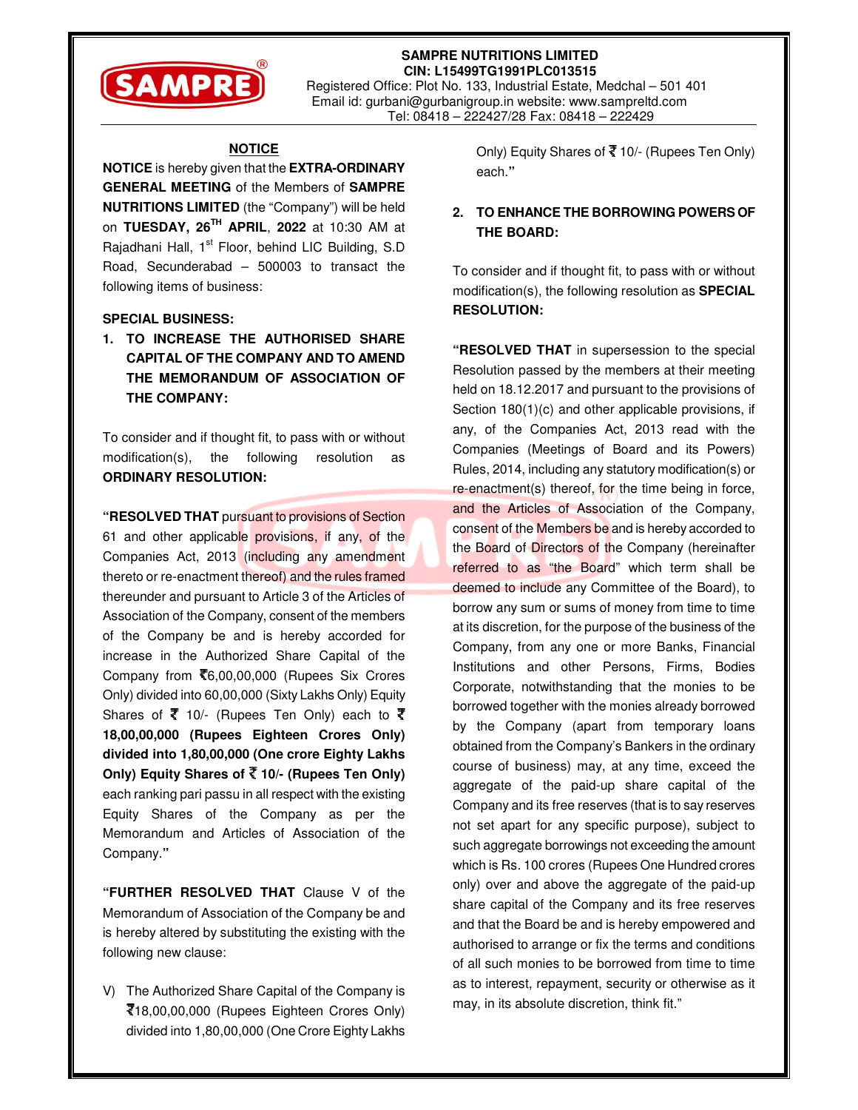

**SAMPRE NUTRITIONS LIMITED CIN: L15499TG1991PLC013515**  Registered Office: Plot No. 133, Industrial Estate, Medchal – 501 401 Email id: gurbani@gurbanigroup.in website: www.sampreltd.com Tel: 08418 – 222427/28 Fax: 08418 – 222429

## **NOTICE**

**NOTICE** is hereby given that the **EXTRA-ORDINARY GENERAL MEETING** of the Members of **SAMPRE NUTRITIONS LIMITED** (the "Company") will be held on **TUESDAY, 26TH APRIL**, **2022** at 10:30 AM at Rajadhani Hall, 1<sup>st</sup> Floor, behind LIC Building, S.D Road, Secunderabad – 500003 to transact the following items of business:

#### **SPECIAL BUSINESS:**

**1. TO INCREASE THE AUTHORISED SHARE CAPITAL OF THE COMPANY AND TO AMEND THE MEMORANDUM OF ASSOCIATION OF THE COMPANY:** 

To consider and if thought fit, to pass with or without modification(s), the following resolution as **ORDINARY RESOLUTION:** 

**"RESOLVED THAT** pursuant to provisions of Section 61 and other applicable provisions, if any, of the Companies Act, 2013 (including any amendment thereto or re-enactment thereof) and the rules framed thereunder and pursuant to Article 3 of the Articles of Association of the Company, consent of the members of the Company be and is hereby accorded for increase in the Authorized Share Capital of the Company from  $\bar{\mathcal{F}}$ 6,00,00,000 (Rupees Six Crores Only) divided into 60,00,000 (Sixty Lakhs Only) Equity Shares of  $\bar{\mathfrak{X}}$  10/- (Rupees Ten Only) each to  $\bar{\mathfrak{X}}$ **18,00,00,000 (Rupees Eighteen Crores Only) divided into 1,80,00,000 (One crore Eighty Lakhs Only) Equity Shares of ₹10/- (Rupees Ten Only)** each ranking pari passu in all respect with the existing Equity Shares of the Company as per the Memorandum and Articles of Association of the Company.**"**

**"FURTHER RESOLVED THAT** Clause V of the Memorandum of Association of the Company be and is hereby altered by substituting the existing with the following new clause:

V) The Authorized Share Capital of the Company is 18,00,00,000 (Rupees Eighteen Crores Only) divided into 1,80,00,000 (One Crore Eighty Lakhs

Only) Equity Shares of  $\overline{\mathfrak{X}}$  10/- (Rupees Ten Only) each.**"** 

## **2. TO ENHANCE THE BORROWING POWERS OF THE BOARD:**

To consider and if thought fit, to pass with or without modification(s), the following resolution as **SPECIAL RESOLUTION:** 

**"RESOLVED THAT** in supersession to the special Resolution passed by the members at their meeting held on 18.12.2017 and pursuant to the provisions of Section 180(1)(c) and other applicable provisions, if any, of the Companies Act, 2013 read with the Companies (Meetings of Board and its Powers) Rules, 2014, including any statutory modification(s) or re-enactment(s) thereof, for the time being in force, and the Articles of Association of the Company, consent of the Members be and is hereby accorded to the Board of Directors of the Company (hereinafter referred to as "the Board" which term shall be deemed to include any Committee of the Board), to borrow any sum or sums of money from time to time at its discretion, for the purpose of the business of the Company, from any one or more Banks, Financial Institutions and other Persons, Firms, Bodies Corporate, notwithstanding that the monies to be borrowed together with the monies already borrowed by the Company (apart from temporary loans obtained from the Company's Bankers in the ordinary course of business) may, at any time, exceed the aggregate of the paid-up share capital of the Company and its free reserves (that is to say reserves not set apart for any specific purpose), subject to such aggregate borrowings not exceeding the amount which is Rs. 100 crores (Rupees One Hundred crores only) over and above the aggregate of the paid-up share capital of the Company and its free reserves and that the Board be and is hereby empowered and authorised to arrange or fix the terms and conditions of all such monies to be borrowed from time to time as to interest, repayment, security or otherwise as it may, in its absolute discretion, think fit."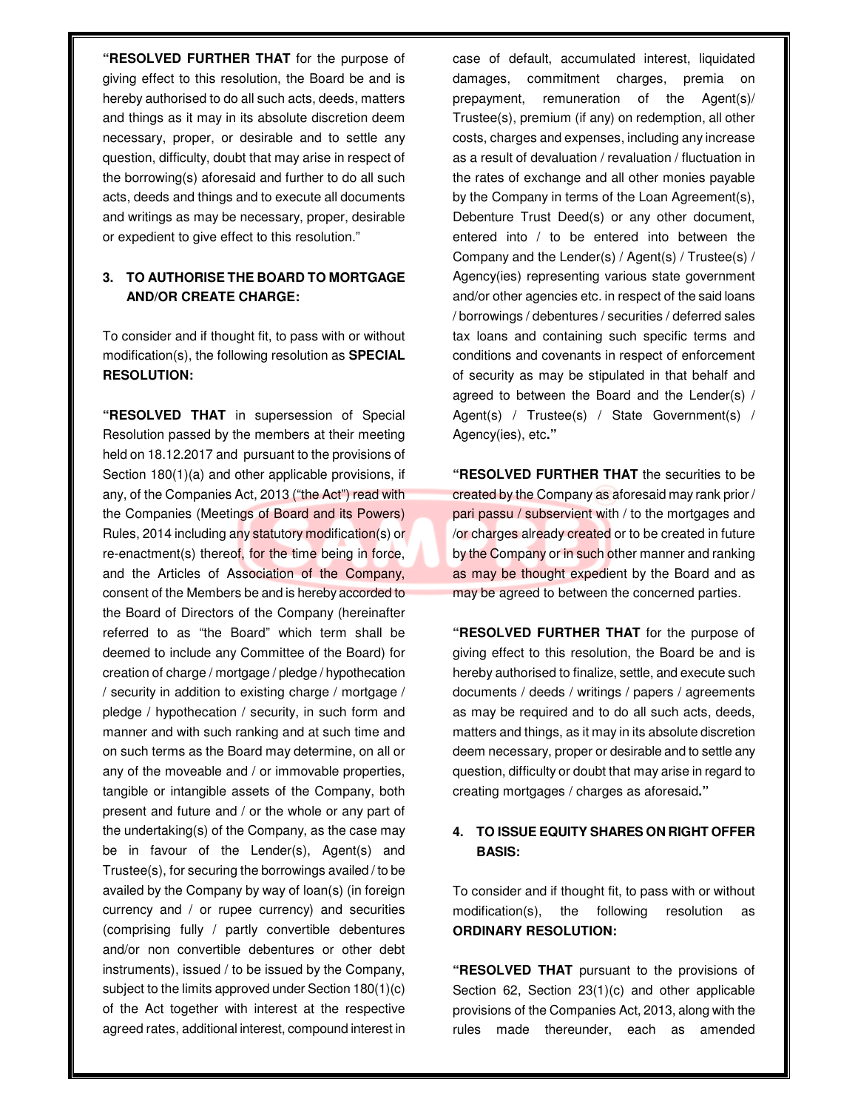**"RESOLVED FURTHER THAT** for the purpose of giving effect to this resolution, the Board be and is hereby authorised to do all such acts, deeds, matters and things as it may in its absolute discretion deem necessary, proper, or desirable and to settle any question, difficulty, doubt that may arise in respect of the borrowing(s) aforesaid and further to do all such acts, deeds and things and to execute all documents and writings as may be necessary, proper, desirable or expedient to give effect to this resolution."

# **3. TO AUTHORISE THE BOARD TO MORTGAGE AND/OR CREATE CHARGE:**

To consider and if thought fit, to pass with or without modification(s), the following resolution as **SPECIAL RESOLUTION:** 

**"RESOLVED THAT** in supersession of Special Resolution passed by the members at their meeting held on 18.12.2017 and pursuant to the provisions of Section 180(1)(a) and other applicable provisions, if any, of the Companies Act, 2013 ("the Act") read with the Companies (Meetings of Board and its Powers) Rules, 2014 including any statutory modification(s) or re-enactment(s) thereof, for the time being in force, and the Articles of Association of the Company, consent of the Members be and is hereby accorded to the Board of Directors of the Company (hereinafter referred to as "the Board" which term shall be deemed to include any Committee of the Board) for creation of charge / mortgage / pledge / hypothecation / security in addition to existing charge / mortgage / pledge / hypothecation / security, in such form and manner and with such ranking and at such time and on such terms as the Board may determine, on all or any of the moveable and / or immovable properties, tangible or intangible assets of the Company, both present and future and / or the whole or any part of the undertaking(s) of the Company, as the case may be in favour of the Lender(s), Agent(s) and Trustee(s), for securing the borrowings availed / to be availed by the Company by way of loan(s) (in foreign currency and / or rupee currency) and securities (comprising fully / partly convertible debentures and/or non convertible debentures or other debt instruments), issued / to be issued by the Company, subject to the limits approved under Section 180(1)(c) of the Act together with interest at the respective agreed rates, additional interest, compound interest in

case of default, accumulated interest, liquidated damages, commitment charges, premia on prepayment, remuneration of the Agent(s)/ Trustee(s), premium (if any) on redemption, all other costs, charges and expenses, including any increase as a result of devaluation / revaluation / fluctuation in the rates of exchange and all other monies payable by the Company in terms of the Loan Agreement(s), Debenture Trust Deed(s) or any other document, entered into / to be entered into between the Company and the Lender(s) / Agent(s) / Trustee(s) / Agency(ies) representing various state government and/or other agencies etc. in respect of the said loans / borrowings / debentures / securities / deferred sales tax loans and containing such specific terms and conditions and covenants in respect of enforcement of security as may be stipulated in that behalf and agreed to between the Board and the Lender(s) / Agent(s) / Trustee(s) / State Government(s) / Agency(ies), etc**."**

**"RESOLVED FURTHER THAT** the securities to be created by the Company as aforesaid may rank prior / pari passu / subservient with / to the mortgages and /or charges already created or to be created in future by the Company or in such other manner and ranking as may be thought expedient by the Board and as may be agreed to between the concerned parties.

**"RESOLVED FURTHER THAT** for the purpose of giving effect to this resolution, the Board be and is hereby authorised to finalize, settle, and execute such documents / deeds / writings / papers / agreements as may be required and to do all such acts, deeds, matters and things, as it may in its absolute discretion deem necessary, proper or desirable and to settle any question, difficulty or doubt that may arise in regard to creating mortgages / charges as aforesaid**."**

# **4. TO ISSUE EQUITY SHARES ON RIGHT OFFER BASIS:**

To consider and if thought fit, to pass with or without modification(s), the following resolution as **ORDINARY RESOLUTION:** 

**"RESOLVED THAT** pursuant to the provisions of Section 62, Section 23(1)(c) and other applicable provisions of the Companies Act, 2013, along with the rules made thereunder, each as amended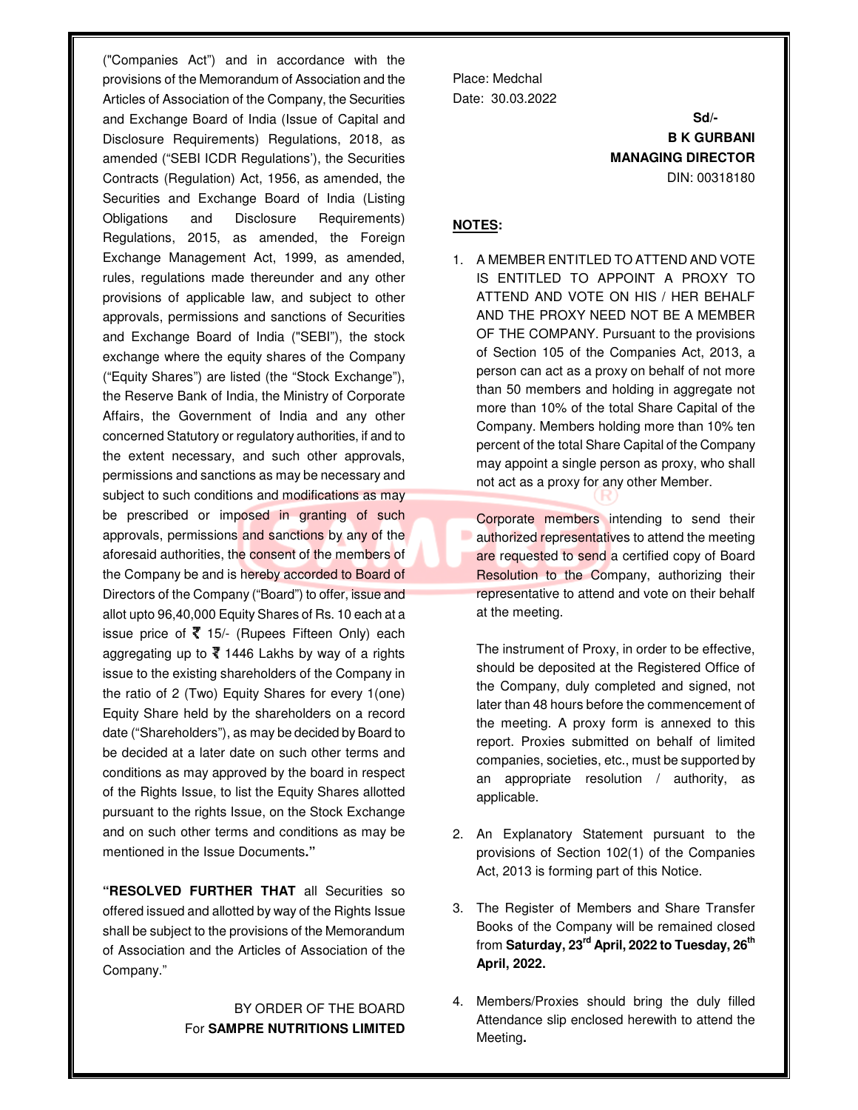("Companies Act") and in accordance with the provisions of the Memorandum of Association and the Articles of Association of the Company, the Securities and Exchange Board of India (Issue of Capital and Disclosure Requirements) Regulations, 2018, as amended ("SEBI ICDR Regulations'), the Securities Contracts (Regulation) Act, 1956, as amended, the Securities and Exchange Board of India (Listing Obligations and Disclosure Requirements) Regulations, 2015, as amended, the Foreign Exchange Management Act, 1999, as amended, rules, regulations made thereunder and any other provisions of applicable law, and subject to other approvals, permissions and sanctions of Securities and Exchange Board of India ("SEBI"), the stock exchange where the equity shares of the Company ("Equity Shares") are listed (the "Stock Exchange"), the Reserve Bank of India, the Ministry of Corporate Affairs, the Government of India and any other concerned Statutory or regulatory authorities, if and to the extent necessary, and such other approvals, permissions and sanctions as may be necessary and subject to such conditions and modifications as may be prescribed or imposed in granting of such approvals, permissions and sanctions by any of the aforesaid authorities, the consent of the members of the Company be and is hereby accorded to Board of Directors of the Company ("Board") to offer, issue and allot upto 96,40,000 Equity Shares of Rs. 10 each at a issue price of  $\bar{\mathbf{\xi}}$  15/- (Rupees Fifteen Only) each aggregating up to  $\overline{\mathfrak{c}}$  1446 Lakhs by way of a rights issue to the existing shareholders of the Company in the ratio of 2 (Two) Equity Shares for every 1(one) Equity Share held by the shareholders on a record date ("Shareholders"), as may be decided by Board to be decided at a later date on such other terms and conditions as may approved by the board in respect of the Rights Issue, to list the Equity Shares allotted pursuant to the rights Issue, on the Stock Exchange and on such other terms and conditions as may be mentioned in the Issue Documents**."**

**"RESOLVED FURTHER THAT** all Securities so offered issued and allotted by way of the Rights Issue shall be subject to the provisions of the Memorandum of Association and the Articles of Association of the Company."

## BY ORDER OF THE BOARD For **SAMPRE NUTRITIONS LIMITED**

Place: Medchal Date: 30.03.2022

**Sd/-B K GURBANI MANAGING DIRECTOR**  DIN: 00318180

### **NOTES:**

1. A MEMBER ENTITLED TO ATTEND AND VOTE IS ENTITLED TO APPOINT A PROXY TO ATTEND AND VOTE ON HIS / HER BEHALF AND THE PROXY NEED NOT BE A MEMBER OF THE COMPANY. Pursuant to the provisions of Section 105 of the Companies Act, 2013, a person can act as a proxy on behalf of not more than 50 members and holding in aggregate not more than 10% of the total Share Capital of the Company. Members holding more than 10% ten percent of the total Share Capital of the Company may appoint a single person as proxy, who shall not act as a proxy for any other Member.

Corporate members intending to send their authorized representatives to attend the meeting are requested to send a certified copy of Board Resolution to the Company, authorizing their representative to attend and vote on their behalf at the meeting.

The instrument of Proxy, in order to be effective, should be deposited at the Registered Office of the Company, duly completed and signed, not later than 48 hours before the commencement of the meeting. A proxy form is annexed to this report. Proxies submitted on behalf of limited companies, societies, etc., must be supported by an appropriate resolution / authority, as applicable.

- 2. An Explanatory Statement pursuant to the provisions of Section 102(1) of the Companies Act, 2013 is forming part of this Notice.
- 3. The Register of Members and Share Transfer Books of the Company will be remained closed from **Saturday, 23rd April, 2022 to Tuesday, 26th April, 2022.**
- 4. Members/Proxies should bring the duly filled Attendance slip enclosed herewith to attend the Meeting**.**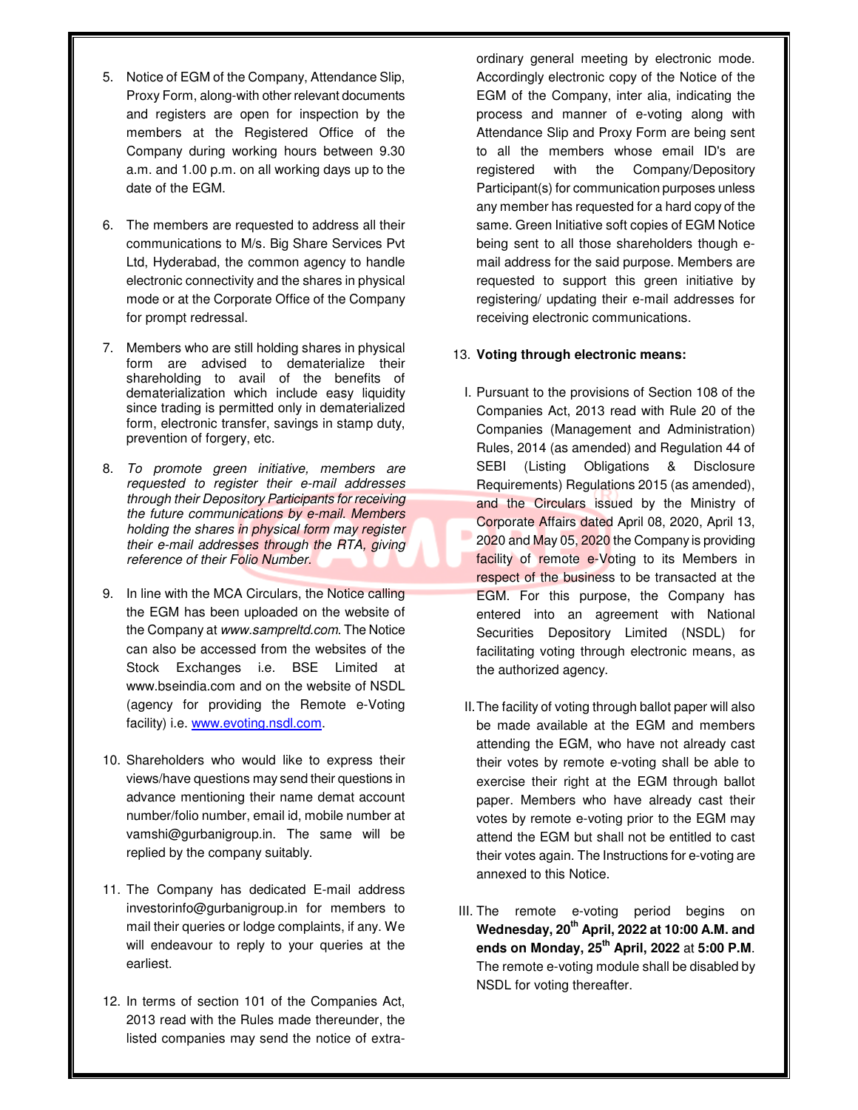- 5. Notice of EGM of the Company, Attendance Slip, Proxy Form, along-with other relevant documents and registers are open for inspection by the members at the Registered Office of the Company during working hours between 9.30 a.m. and 1.00 p.m. on all working days up to the date of the EGM.
- 6. The members are requested to address all their communications to M/s. Big Share Services Pvt Ltd, Hyderabad, the common agency to handle electronic connectivity and the shares in physical mode or at the Corporate Office of the Company for prompt redressal.
- 7. Members who are still holding shares in physical form are advised to dematerialize their shareholding to avail of the benefits of dematerialization which include easy liquidity since trading is permitted only in dematerialized form, electronic transfer, savings in stamp duty, prevention of forgery, etc.
- 8. To promote green initiative, members are requested to register their e-mail addresses through their Depository Participants for receiving the future communications by e-mail. Members holding the shares in physical form may register their e-mail addresses through the RTA, giving reference of their Folio Number.
- 9. In line with the MCA Circulars, the Notice calling the EGM has been uploaded on the website of the Company at www.sampreltd.com. The Notice can also be accessed from the websites of the Stock Exchanges i.e. BSE Limited at www.bseindia.com and on the website of NSDL (agency for providing the Remote e-Voting facility) i.e. www.evoting.nsdl.com.
- 10. Shareholders who would like to express their views/have questions may send their questions in advance mentioning their name demat account number/folio number, email id, mobile number at vamshi@gurbanigroup.in. The same will be replied by the company suitably.
- 11. The Company has dedicated E-mail address investorinfo@gurbanigroup.in for members to mail their queries or lodge complaints, if any. We will endeavour to reply to your queries at the earliest.
- 12. In terms of section 101 of the Companies Act, 2013 read with the Rules made thereunder, the listed companies may send the notice of extra-

ordinary general meeting by electronic mode. Accordingly electronic copy of the Notice of the EGM of the Company, inter alia, indicating the process and manner of e-voting along with Attendance Slip and Proxy Form are being sent to all the members whose email ID's are registered with the Company/Depository Participant(s) for communication purposes unless any member has requested for a hard copy of the same. Green Initiative soft copies of EGM Notice being sent to all those shareholders though email address for the said purpose. Members are requested to support this green initiative by registering/ updating their e-mail addresses for receiving electronic communications.

#### 13. **Voting through electronic means:**

- I. Pursuant to the provisions of Section 108 of the Companies Act, 2013 read with Rule 20 of the Companies (Management and Administration) Rules, 2014 (as amended) and Regulation 44 of SEBI (Listing Obligations & Disclosure Requirements) Regulations 2015 (as amended), and the Circulars issued by the Ministry of Corporate Affairs dated April 08, 2020, April 13, 2020 and May 05, 2020 the Company is providing facility of remote e-Voting to its Members in respect of the business to be transacted at the EGM. For this purpose, the Company has entered into an agreement with National Securities Depository Limited (NSDL) for facilitating voting through electronic means, as the authorized agency.
- II. The facility of voting through ballot paper will also be made available at the EGM and members attending the EGM, who have not already cast their votes by remote e-voting shall be able to exercise their right at the EGM through ballot paper. Members who have already cast their votes by remote e-voting prior to the EGM may attend the EGM but shall not be entitled to cast their votes again. The Instructions for e-voting are annexed to this Notice.
- III. The remote e-voting period begins on **Wednesday, 20th April, 2022 at 10:00 A.M. and ends on Monday, 25th April, 2022** at **5:00 P.M**. The remote e-voting module shall be disabled by NSDL for voting thereafter.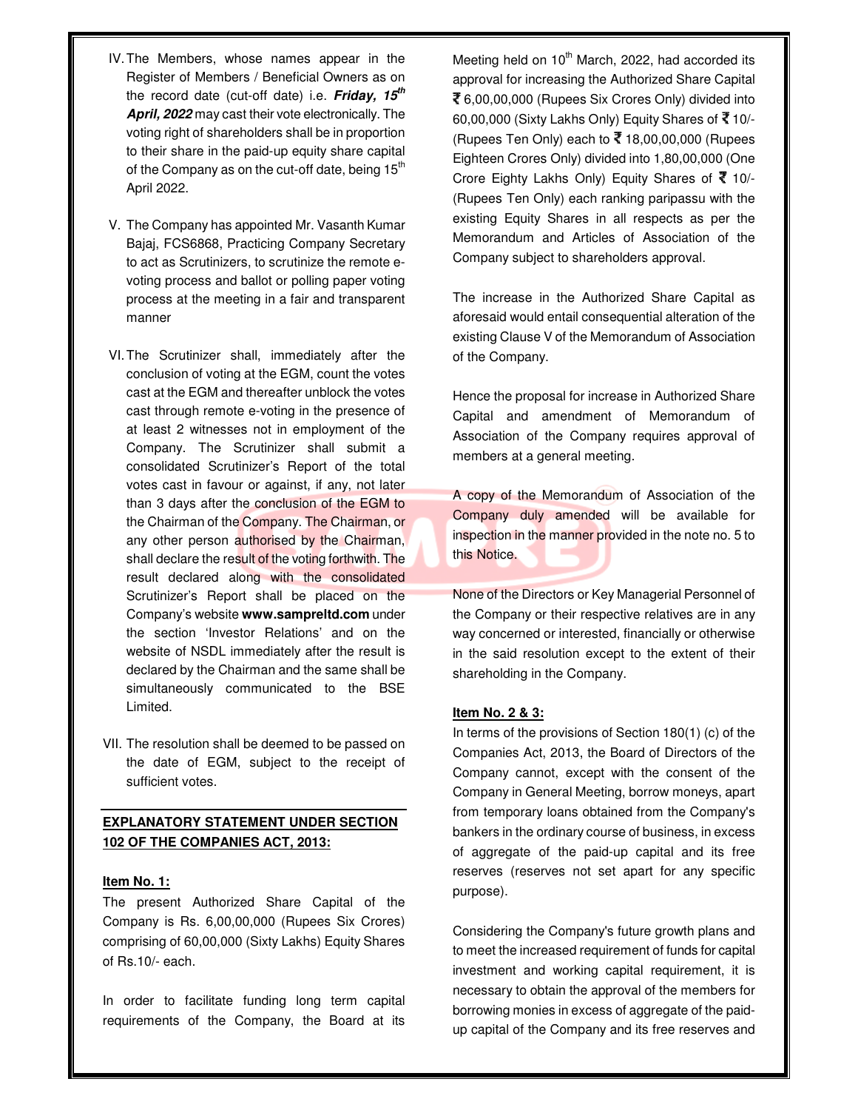- IV. The Members, whose names appear in the Register of Members / Beneficial Owners as on the record date (cut-off date) i.e. **Friday, 15th April, 2022** may cast their vote electronically. The voting right of shareholders shall be in proportion to their share in the paid-up equity share capital of the Company as on the cut-off date, being  $15<sup>th</sup>$ April 2022.
- V. The Company has appointed Mr. Vasanth Kumar Bajaj, FCS6868, Practicing Company Secretary to act as Scrutinizers, to scrutinize the remote evoting process and ballot or polling paper voting process at the meeting in a fair and transparent manner
- VI. The Scrutinizer shall, immediately after the conclusion of voting at the EGM, count the votes cast at the EGM and thereafter unblock the votes cast through remote e-voting in the presence of at least 2 witnesses not in employment of the Company. The Scrutinizer shall submit a consolidated Scrutinizer's Report of the total votes cast in favour or against, if any, not later than 3 days after the conclusion of the EGM to the Chairman of the Company. The Chairman, or any other person authorised by the Chairman, shall declare the result of the voting forthwith. The result declared along with the consolidated Scrutinizer's Report shall be placed on the Company's website **www.sampreltd.com** under the section 'Investor Relations' and on the website of NSDL immediately after the result is declared by the Chairman and the same shall be simultaneously communicated to the BSE Limited.
- VII. The resolution shall be deemed to be passed on the date of EGM, subject to the receipt of sufficient votes.

## **EXPLANATORY STATEMENT UNDER SECTION 102 OF THE COMPANIES ACT, 2013:**

#### **Item No. 1:**

The present Authorized Share Capital of the Company is Rs. 6,00,00,000 (Rupees Six Crores) comprising of 60,00,000 (Sixty Lakhs) Equity Shares of Rs.10/- each.

In order to facilitate funding long term capital requirements of the Company, the Board at its Meeting held on  $10<sup>th</sup>$  March, 2022, had accorded its approval for increasing the Authorized Share Capital 6,00,00,000 (Rupees Six Crores Only) divided into 60,00,000 (Sixty Lakhs Only) Equity Shares of  $\sqrt{3}$  10/-(Rupees Ten Only) each to  $\bar{x}$  18,00,00,000 (Rupees Eighteen Crores Only) divided into 1,80,00,000 (One Crore Eighty Lakhs Only) Equity Shares of  $\bar{X}$  10/-(Rupees Ten Only) each ranking paripassu with the existing Equity Shares in all respects as per the Memorandum and Articles of Association of the Company subject to shareholders approval.

The increase in the Authorized Share Capital as aforesaid would entail consequential alteration of the existing Clause V of the Memorandum of Association of the Company.

Hence the proposal for increase in Authorized Share Capital and amendment of Memorandum of Association of the Company requires approval of members at a general meeting.

A copy of the Memorandum of Association of the Company duly amended will be available for inspection in the manner provided in the note no. 5 to this Notice.

None of the Directors or Key Managerial Personnel of the Company or their respective relatives are in any way concerned or interested, financially or otherwise in the said resolution except to the extent of their shareholding in the Company.

#### **Item No. 2 & 3:**

In terms of the provisions of Section 180(1) (c) of the Companies Act, 2013, the Board of Directors of the Company cannot, except with the consent of the Company in General Meeting, borrow moneys, apart from temporary loans obtained from the Company's bankers in the ordinary course of business, in excess of aggregate of the paid-up capital and its free reserves (reserves not set apart for any specific purpose).

Considering the Company's future growth plans and to meet the increased requirement of funds for capital investment and working capital requirement, it is necessary to obtain the approval of the members for borrowing monies in excess of aggregate of the paidup capital of the Company and its free reserves and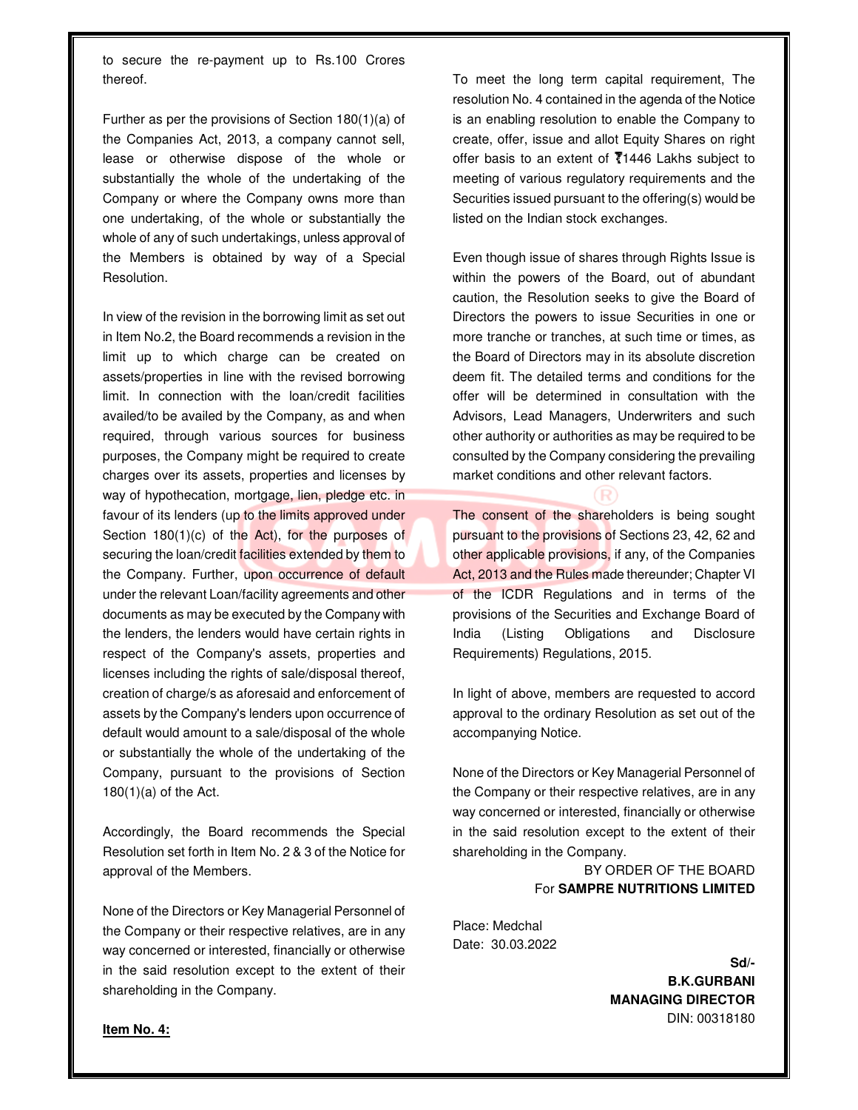to secure the re-payment up to Rs.100 Crores thereof.

Further as per the provisions of Section 180(1)(a) of the Companies Act, 2013, a company cannot sell, lease or otherwise dispose of the whole or substantially the whole of the undertaking of the Company or where the Company owns more than one undertaking, of the whole or substantially the whole of any of such undertakings, unless approval of the Members is obtained by way of a Special Resolution.

In view of the revision in the borrowing limit as set out in Item No.2, the Board recommends a revision in the limit up to which charge can be created on assets/properties in line with the revised borrowing limit. In connection with the loan/credit facilities availed/to be availed by the Company, as and when required, through various sources for business purposes, the Company might be required to create charges over its assets, properties and licenses by way of hypothecation, mortgage, lien, pledge etc. in favour of its lenders (up to the limits approved under Section 180(1)(c) of the Act), for the purposes of securing the loan/credit facilities extended by them to the Company. Further, upon occurrence of default under the relevant Loan/facility agreements and other documents as may be executed by the Company with the lenders, the lenders would have certain rights in respect of the Company's assets, properties and licenses including the rights of sale/disposal thereof, creation of charge/s as aforesaid and enforcement of assets by the Company's lenders upon occurrence of default would amount to a sale/disposal of the whole or substantially the whole of the undertaking of the Company, pursuant to the provisions of Section  $180(1)(a)$  of the Act.

Accordingly, the Board recommends the Special Resolution set forth in Item No. 2 & 3 of the Notice for approval of the Members.

None of the Directors or Key Managerial Personnel of the Company or their respective relatives, are in any way concerned or interested, financially or otherwise in the said resolution except to the extent of their shareholding in the Company.

To meet the long term capital requirement, The resolution No. 4 contained in the agenda of the Notice is an enabling resolution to enable the Company to create, offer, issue and allot Equity Shares on right offer basis to an extent of  $\overline{1}1446$  Lakhs subject to meeting of various regulatory requirements and the Securities issued pursuant to the offering(s) would be listed on the Indian stock exchanges.

Even though issue of shares through Rights Issue is within the powers of the Board, out of abundant caution, the Resolution seeks to give the Board of Directors the powers to issue Securities in one or more tranche or tranches, at such time or times, as the Board of Directors may in its absolute discretion deem fit. The detailed terms and conditions for the offer will be determined in consultation with the Advisors, Lead Managers, Underwriters and such other authority or authorities as may be required to be consulted by the Company considering the prevailing market conditions and other relevant factors.

The consent of the shareholders is being sought pursuant to the provisions of Sections 23, 42, 62 and other applicable provisions, if any, of the Companies Act, 2013 and the Rules made thereunder; Chapter VI of the ICDR Regulations and in terms of the provisions of the Securities and Exchange Board of India (Listing Obligations and Disclosure Requirements) Regulations, 2015.

In light of above, members are requested to accord approval to the ordinary Resolution as set out of the accompanying Notice.

None of the Directors or Key Managerial Personnel of the Company or their respective relatives, are in any way concerned or interested, financially or otherwise in the said resolution except to the extent of their shareholding in the Company.

> BY ORDER OF THE BOARD For **SAMPRE NUTRITIONS LIMITED**

Place: Medchal Date: 30.03.2022

> **Sd/- B.K.GURBANI MANAGING DIRECTOR**  DIN: 00318180

**Item No. 4:**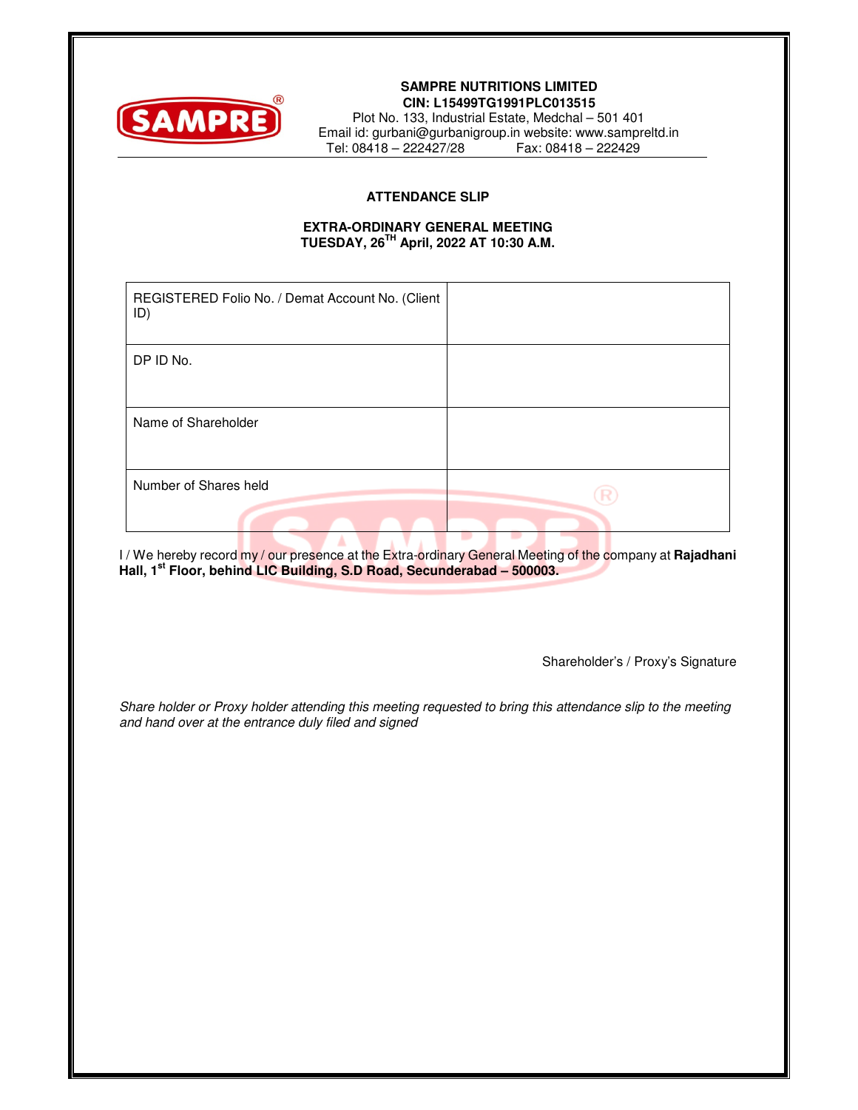

#### **SAMPRE NUTRITIONS LIMITED CIN: L15499TG1991PLC013515**

Plot No. 133, Industrial Estate, Medchal – 501 401 Email id: gurbani@gurbanigroup.in website: www.sampreltd.in  $Tel: 08418 - 222427/28$ 

### **ATTENDANCE SLIP**

#### **EXTRA-ORDINARY GENERAL MEETING TUESDAY, 26TH April, 2022 AT 10:30 A.M.**

| REGISTERED Folio No. / Demat Account No. (Client<br>ID) |  |
|---------------------------------------------------------|--|
| DP ID No.                                               |  |
|                                                         |  |
| Name of Shareholder                                     |  |
|                                                         |  |
| Number of Shares held                                   |  |
|                                                         |  |

I / We hereby record my / our presence at the Extra-ordinary General Meeting of the company at **Rajadhani Hall, 1st Floor, behind LIC Building, S.D Road, Secunderabad – 500003.**

Shareholder's / Proxy's Signature

Share holder or Proxy holder attending this meeting requested to bring this attendance slip to the meeting and hand over at the entrance duly filed and signed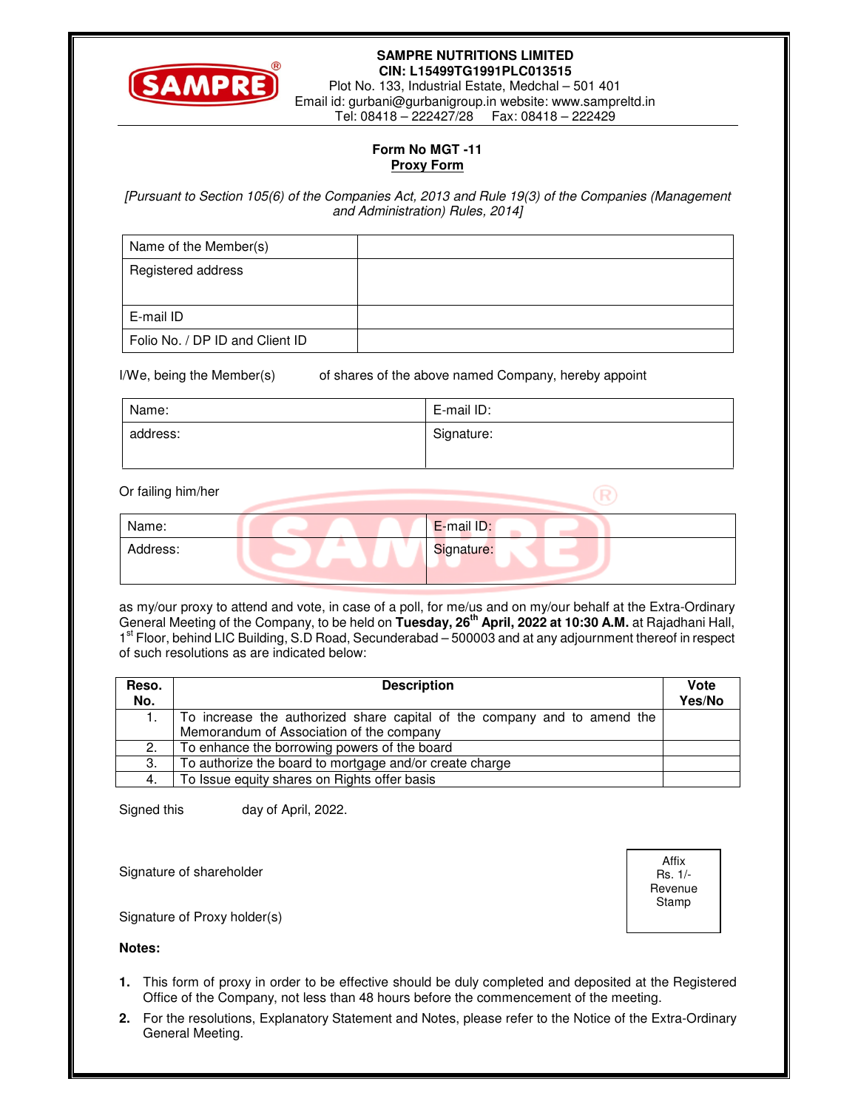

### **SAMPRE NUTRITIONS LIMITED CIN: L15499TG1991PLC013515**

Plot No. 133, Industrial Estate, Medchal – 501 401 Email id: gurbani@gurbanigroup.in website: www.sampreltd.in Tel: 08418 – 222427/28 Fax: 08418 – 222429

## **Form No MGT -11 Proxy Form**

[Pursuant to Section 105(6) of the Companies Act, 2013 and Rule 19(3) of the Companies (Management and Administration) Rules, 2014]

| Name of the Member(s)           |  |
|---------------------------------|--|
| Registered address              |  |
| E-mail ID                       |  |
| Folio No. / DP ID and Client ID |  |

I/We, being the Member(s) of shares of the above named Company, hereby appoint

| Name:    | E-mail ID: |
|----------|------------|
| address: | Signature: |

Or failing him/her

| Name:    | E-mail ID: |
|----------|------------|
| Address: | Signature: |
|          |            |

as my/our proxy to attend and vote, in case of a poll, for me/us and on my/our behalf at the Extra-Ordinary General Meeting of the Company, to be held on **Tuesday, 26th April, 2022 at 10:30 A.M.** at Rajadhani Hall, 1<sup>st</sup> Floor, behind LIC Building, S.D Road, Secunderabad - 500003 and at any adjournment thereof in respect of such resolutions as are indicated below:

| Reso. | <b>Description</b>                                                       | Vote   |
|-------|--------------------------------------------------------------------------|--------|
| No.   |                                                                          | Yes/No |
|       | To increase the authorized share capital of the company and to amend the |        |
|       | Memorandum of Association of the company                                 |        |
| 2.    | To enhance the borrowing powers of the board                             |        |
| 3.    | To authorize the board to mortgage and/or create charge                  |        |
| 4.    | To Issue equity shares on Rights offer basis                             |        |

Signed this day of April, 2022.

Signature of shareholder

**Notes:** 

Signature of Proxy holder(s)



 $\mathbb{R}$ 

**1.** This form of proxy in order to be effective should be duly completed and deposited at the Registered Office of the Company, not less than 48 hours before the commencement of the meeting.

**2.** For the resolutions, Explanatory Statement and Notes, please refer to the Notice of the Extra-Ordinary General Meeting.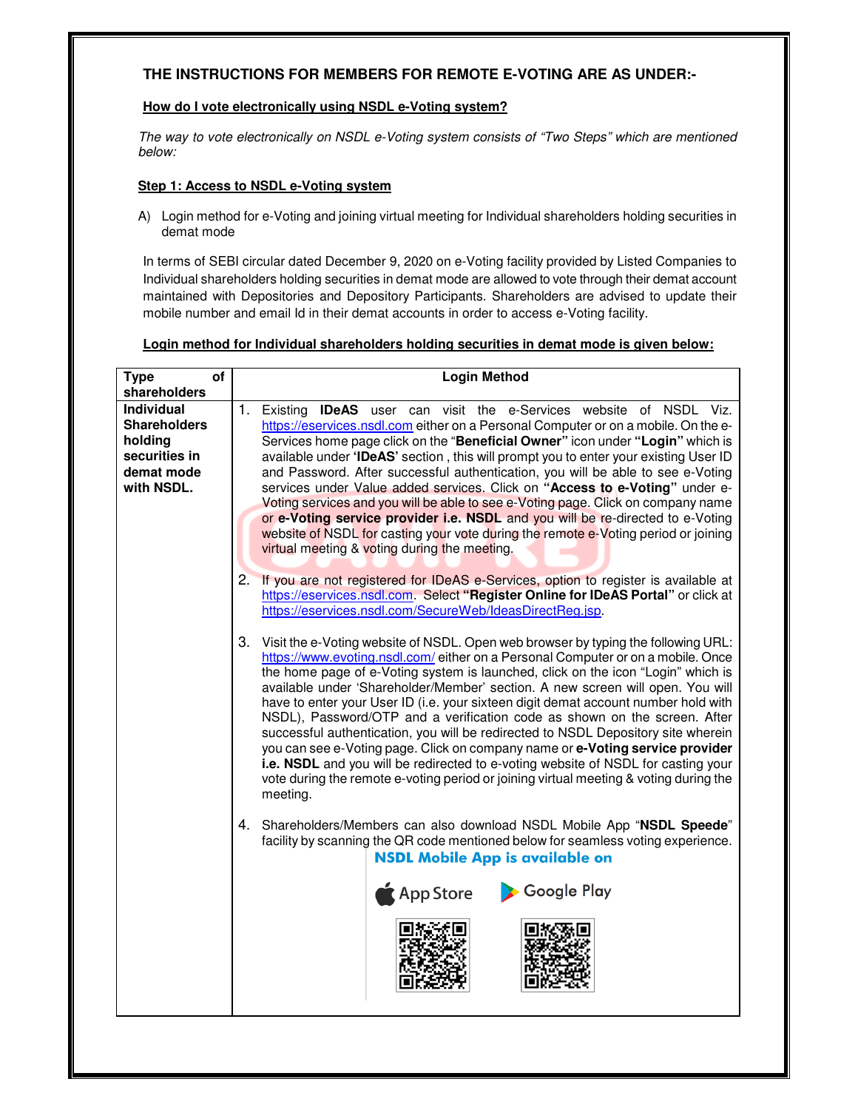## **THE INSTRUCTIONS FOR MEMBERS FOR REMOTE E-VOTING ARE AS UNDER:-**

### **How do I vote electronically using NSDL e-Voting system?**

The way to vote electronically on NSDL e-Voting system consists of "Two Steps" which are mentioned below:

### **Step 1: Access to NSDL e-Voting system**

A) Login method for e-Voting and joining virtual meeting for Individual shareholders holding securities in demat mode

In terms of SEBI circular dated December 9, 2020 on e-Voting facility provided by Listed Companies to Individual shareholders holding securities in demat mode are allowed to vote through their demat account maintained with Depositories and Depository Participants. Shareholders are advised to update their mobile number and email Id in their demat accounts in order to access e-Voting facility.

## **Login method for Individual shareholders holding securities in demat mode is given below:**

| <b>Type</b><br>of<br>shareholders                                                                | <b>Login Method</b>                                                                                                                                                                                                                                                                                                                                                                                                                                                                                                                                                                                                                                                                                                                                                                                                                                                                 |  |
|--------------------------------------------------------------------------------------------------|-------------------------------------------------------------------------------------------------------------------------------------------------------------------------------------------------------------------------------------------------------------------------------------------------------------------------------------------------------------------------------------------------------------------------------------------------------------------------------------------------------------------------------------------------------------------------------------------------------------------------------------------------------------------------------------------------------------------------------------------------------------------------------------------------------------------------------------------------------------------------------------|--|
| <b>Individual</b><br><b>Shareholders</b><br>holding<br>securities in<br>demat mode<br>with NSDL. | 1.<br>Existing <b>IDeAS</b> user can visit the e-Services website of NSDL Viz.<br>https://eservices.nsdl.com either on a Personal Computer or on a mobile. On the e-<br>Services home page click on the "Beneficial Owner" icon under "Login" which is<br>available under 'IDeAS' section, this will prompt you to enter your existing User ID<br>and Password. After successful authentication, you will be able to see e-Voting<br>services under Value added services. Click on "Access to e-Voting" under e-<br>Voting services and you will be able to see e-Voting page. Click on company name<br>or e-Voting service provider i.e. NSDL and you will be re-directed to e-Voting<br>website of NSDL for casting your vote during the remote e-Voting period or joining<br>virtual meeting & voting during the meeting.                                                        |  |
|                                                                                                  | If you are not registered for IDeAS e-Services, option to register is available at<br>2.<br>https://eservices.nsdl.com. Select "Register Online for IDeAS Portal" or click at<br>https://eservices.nsdl.com/SecureWeb/IdeasDirectReg.jsp.                                                                                                                                                                                                                                                                                                                                                                                                                                                                                                                                                                                                                                           |  |
|                                                                                                  | 3.<br>Visit the e-Voting website of NSDL. Open web browser by typing the following URL:<br>https://www.evoting.nsdl.com/either on a Personal Computer or on a mobile. Once<br>the home page of e-Voting system is launched, click on the icon "Login" which is<br>available under 'Shareholder/Member' section. A new screen will open. You will<br>have to enter your User ID (i.e. your sixteen digit demat account number hold with<br>NSDL), Password/OTP and a verification code as shown on the screen. After<br>successful authentication, you will be redirected to NSDL Depository site wherein<br>you can see e-Voting page. Click on company name or e-Voting service provider<br>i.e. NSDL and you will be redirected to e-voting website of NSDL for casting your<br>vote during the remote e-voting period or joining virtual meeting & voting during the<br>meeting. |  |
|                                                                                                  | Shareholders/Members can also download NSDL Mobile App "NSDL Speede"<br>4.<br>facility by scanning the QR code mentioned below for seamless voting experience.<br><b>NSDL Mobile App is available on</b>                                                                                                                                                                                                                                                                                                                                                                                                                                                                                                                                                                                                                                                                            |  |
|                                                                                                  | App Store<br>Coogle Play                                                                                                                                                                                                                                                                                                                                                                                                                                                                                                                                                                                                                                                                                                                                                                                                                                                            |  |
|                                                                                                  |                                                                                                                                                                                                                                                                                                                                                                                                                                                                                                                                                                                                                                                                                                                                                                                                                                                                                     |  |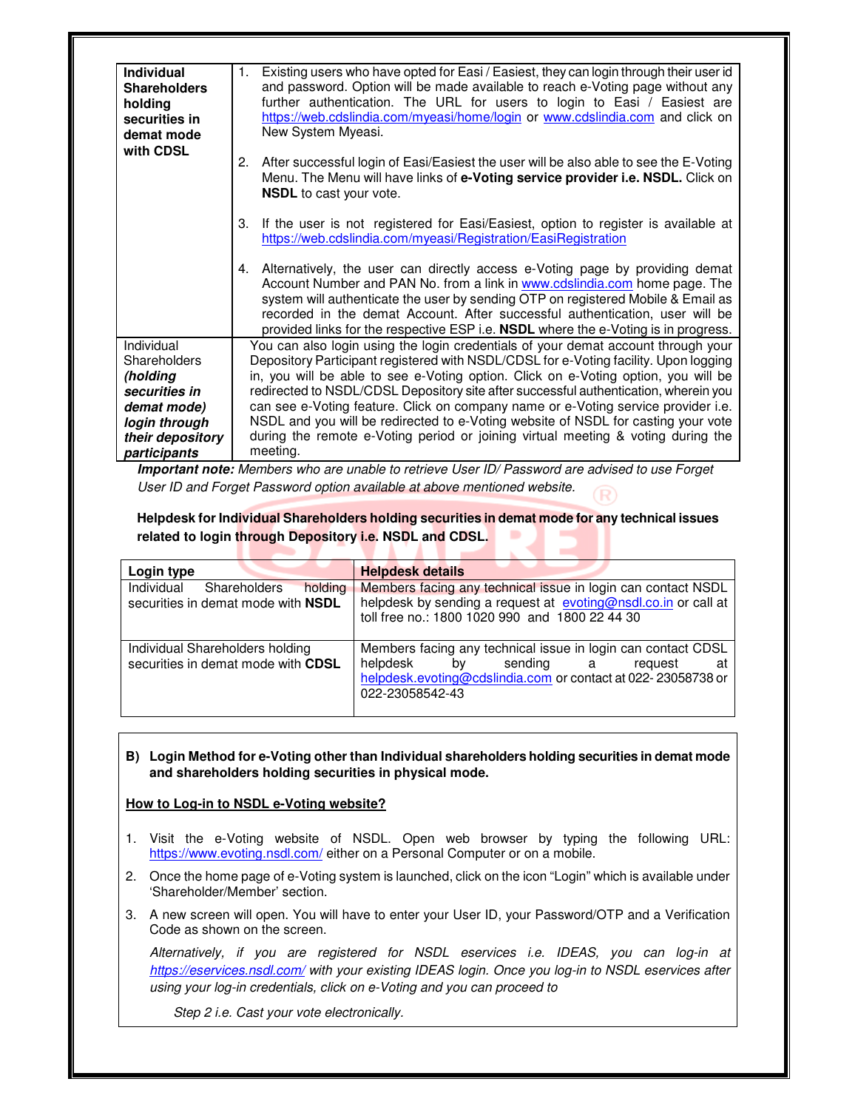| <b>Individual</b><br><b>Shareholders</b><br>holding<br>securities in<br>demat mode | Existing users who have opted for Easi / Easiest, they can login through their user id<br>1.<br>and password. Option will be made available to reach e-Voting page without any<br>further authentication. The URL for users to login to Easi / Easiest are<br>https://web.cdslindia.com/myeasi/home/login or www.cdslindia.com and click on<br>New System Myeasi.                                                              |
|------------------------------------------------------------------------------------|--------------------------------------------------------------------------------------------------------------------------------------------------------------------------------------------------------------------------------------------------------------------------------------------------------------------------------------------------------------------------------------------------------------------------------|
| with CDSL                                                                          | After successful login of Easi/Easiest the user will be also able to see the E-Voting<br>2.<br>Menu. The Menu will have links of e-Voting service provider i.e. NSDL. Click on<br><b>NSDL</b> to cast your vote.                                                                                                                                                                                                               |
|                                                                                    | If the user is not registered for Easi/Easiest, option to register is available at<br>3.<br>https://web.cdslindia.com/myeasi/Registration/EasiRegistration                                                                                                                                                                                                                                                                     |
|                                                                                    | 4. Alternatively, the user can directly access e-Voting page by providing demat<br>Account Number and PAN No. from a link in www.cdslindia.com home page. The<br>system will authenticate the user by sending OTP on registered Mobile & Email as<br>recorded in the demat Account. After successful authentication, user will be<br>provided links for the respective ESP i.e. <b>NSDL</b> where the e-Voting is in progress. |
| Individual                                                                         | You can also login using the login credentials of your demat account through your                                                                                                                                                                                                                                                                                                                                              |
| Shareholders                                                                       | Depository Participant registered with NSDL/CDSL for e-Voting facility. Upon logging                                                                                                                                                                                                                                                                                                                                           |
| (holding                                                                           | in, you will be able to see e-Voting option. Click on e-Voting option, you will be                                                                                                                                                                                                                                                                                                                                             |
| securities in                                                                      | redirected to NSDL/CDSL Depository site after successful authentication, wherein you                                                                                                                                                                                                                                                                                                                                           |
| demat mode)<br>login through                                                       | can see e-Voting feature. Click on company name or e-Voting service provider i.e.<br>NSDL and you will be redirected to e-Voting website of NSDL for casting your vote                                                                                                                                                                                                                                                         |
| their depository                                                                   | during the remote e-Voting period or joining virtual meeting & voting during the                                                                                                                                                                                                                                                                                                                                               |
| participants                                                                       | meeting.                                                                                                                                                                                                                                                                                                                                                                                                                       |

**Important note:** Members who are unable to retrieve User ID/ Password are advised to use Forget User ID and Forget Password option available at above mentioned website.

**Helpdesk for Individual Shareholders holding securities in demat mode for any technical issues related to login through Depository i.e. NSDL and CDSL.** 

| Login type                                                                  | <b>Helpdesk details</b>                                                                                                                                                                         |
|-----------------------------------------------------------------------------|-------------------------------------------------------------------------------------------------------------------------------------------------------------------------------------------------|
| Individual<br>holding<br>Shareholders<br>securities in demat mode with NSDL | Members facing any technical issue in login can contact NSDL<br>helpdesk by sending a request at evoting@nsdl.co.in or call at<br>toll free no.: 1800 1020 990 and 1800 22 44 30                |
| Individual Shareholders holding<br>securities in demat mode with CDSL       | Members facing any technical issue in login can contact CDSL<br>helpdesk<br>bv<br>sending a<br>request<br>at<br>helpdesk.evoting@cdslindia.com or contact at 022-23058738 or<br>022-23058542-43 |

#### **B) Login Method for e-Voting other than Individual shareholders holding securities in demat mode and shareholders holding securities in physical mode.**

### **How to Log-in to NSDL e-Voting website?**

- 1. Visit the e-Voting website of NSDL. Open web browser by typing the following URL: https://www.evoting.nsdl.com/ either on a Personal Computer or on a mobile.
- 2. Once the home page of e-Voting system is launched, click on the icon "Login" which is available under 'Shareholder/Member' section.
- 3. A new screen will open. You will have to enter your User ID, your Password/OTP and a Verification Code as shown on the screen.

Alternatively, if you are registered for NSDL eservices i.e. IDEAS, you can log-in at https://eservices.nsdl.com/ with your existing IDEAS login. Once you log-in to NSDL eservices after using your log-in credentials, click on e-Voting and you can proceed to

Step 2 i.e. Cast your vote electronically.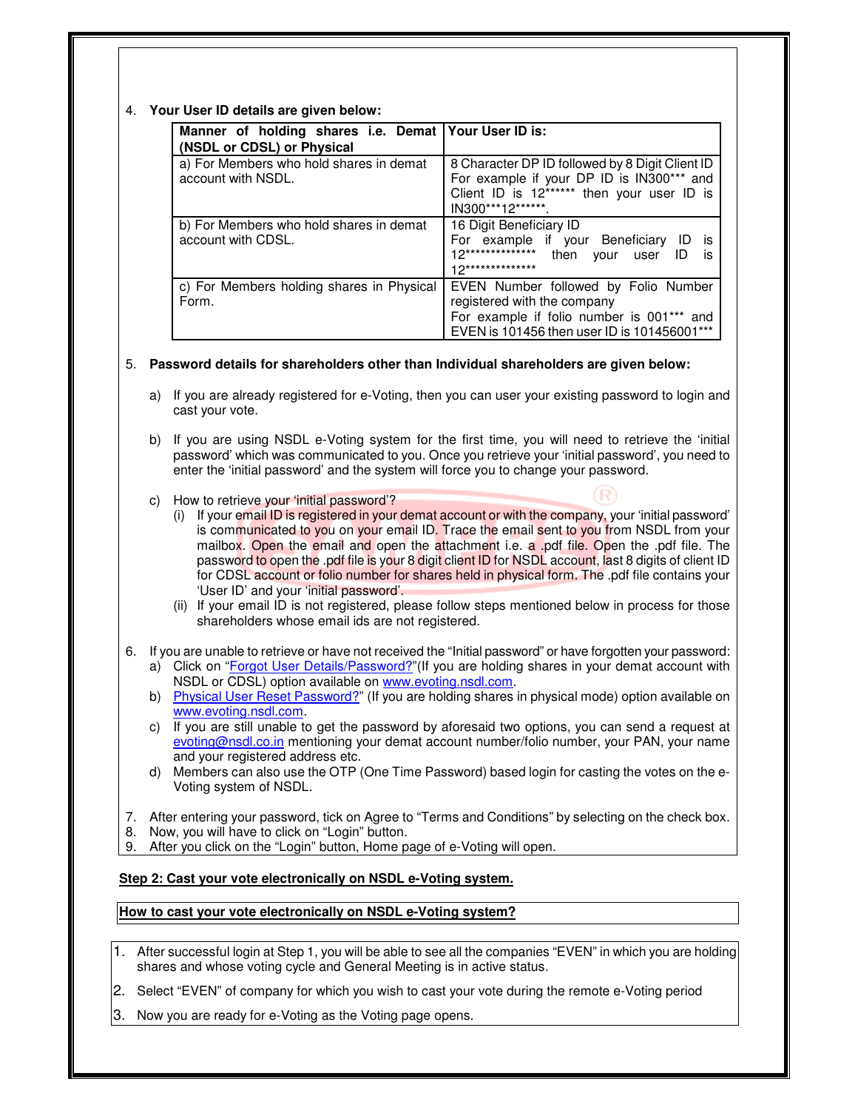#### 4. **Your User ID details are given below:**

| Manner of holding shares i.e. Demat Your User ID is:<br>(NSDL or CDSL) or Physical |                                                                                                                                                                  |
|------------------------------------------------------------------------------------|------------------------------------------------------------------------------------------------------------------------------------------------------------------|
| a) For Members who hold shares in demat<br>account with NSDL.                      | 8 Character DP ID followed by 8 Digit Client ID<br>For example if your DP ID is IN300*** and<br>Client ID is 12****** then your user ID is<br>IN300***12*******. |
| b) For Members who hold shares in demat<br>account with CDSL.                      | 16 Digit Beneficiary ID<br>For example if your Beneficiary<br>İS<br>12**************<br>then<br>ID<br>user<br>vour<br>İS<br>12**************                     |
| c) For Members holding shares in Physical<br>Form.                                 | EVEN Number followed by Folio Number<br>registered with the company<br>For example if folio number is 001*** and<br>EVEN is 101456 then user ID is 101456001***  |

#### 5. **Password details for shareholders other than Individual shareholders are given below:**

- a) If you are already registered for e-Voting, then you can user your existing password to login and cast your vote.
- b) If you are using NSDL e-Voting system for the first time, you will need to retrieve the 'initial password' which was communicated to you. Once you retrieve your 'initial password', you need to enter the 'initial password' and the system will force you to change your password.
- c) How to retrieve your 'initial password'?
	- (i) If your email ID is registered in your demat account or with the company, your 'initial password' is communicated to you on your email ID. Trace the email sent to you from NSDL from your mailbox. Open the email and open the attachment i.e. a .pdf file. Open the .pdf file. The password to open the .pdf file is your 8 digit client ID for NSDL account, last 8 digits of client ID for CDSL account or folio number for shares held in physical form. The .pdf file contains your 'User ID' and your 'initial password'.
	- (ii) If your email ID is not registered, please follow steps mentioned below in process for those shareholders whose email ids are not registered.
- 6. If you are unable to retrieve or have not received the "Initial password" or have forgotten your password: a) Click on "Forgot User Details/Password?"(If you are holding shares in your demat account with NSDL or CDSL) option available on www.evoting.nsdl.com.
	- b) Physical User Reset Password?" (If you are holding shares in physical mode) option available on www.evoting.nsdl.com.
	- c) If you are still unable to get the password by aforesaid two options, you can send a request at evoting@nsdl.co.in mentioning your demat account number/folio number, your PAN, your name and your registered address etc.
	- d) Members can also use the OTP (One Time Password) based login for casting the votes on the e-Voting system of NSDL.
- 7. After entering your password, tick on Agree to "Terms and Conditions" by selecting on the check box.
- 8. Now, you will have to click on "Login" button.
- 9. After you click on the "Login" button, Home page of e-Voting will open.

### **Step 2: Cast your vote electronically on NSDL e-Voting system.**

#### **How to cast your vote electronically on NSDL e-Voting system?**

- 1. After successful login at Step 1, you will be able to see all the companies "EVEN" in which you are holding shares and whose voting cycle and General Meeting is in active status.
- 2. Select "EVEN" of company for which you wish to cast your vote during the remote e-Voting period
- Now you are ready for e-Voting as the Voting page opens.